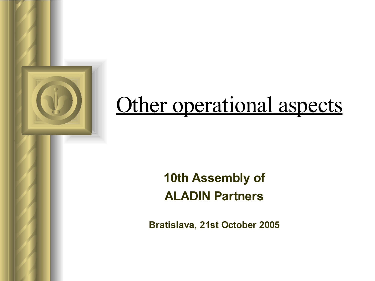# Other operational aspects

## **10th Assembly of ALADIN Partners**

**Bratislava, 21st October 2005**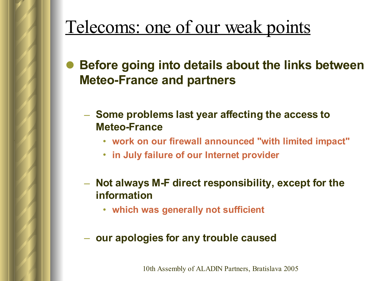**Before going into details about the links between Meteo-France and partners**

- **Some problems last year affecting the access to Meteo-France**
	- **work on our firewall announced "with limited impact"**
	- **in July failure of our Internet provider**
- **Not always M-F direct responsibility, except for the information**
	- **which was generally not sufficient**
- **our apologies for any trouble caused**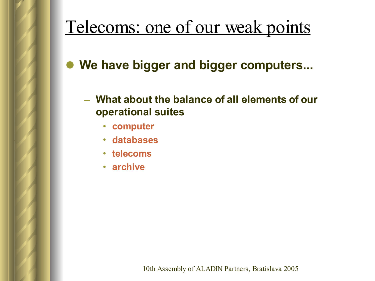**We have bigger and bigger computers...**

### – **What about the balance of all elements of our operational suites**

- **computer**
- **databases**
- **telecoms**
- **archive**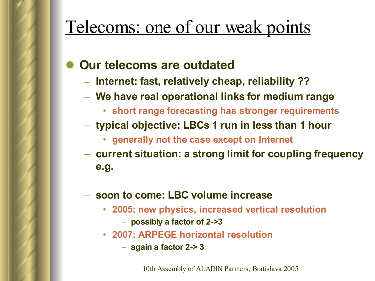### **Our telecoms are outdated**

- **Internet: fast, relatively cheap, reliability ??**
- **We have real operational links for medium range**
	- **short range forecasting has stronger requirements**
- **typical objective: LBCs 1 run in less than 1 hour**
	- **generally not the case except on Internet**
- **current situation: a strong limit for coupling frequency e.g.**

#### – **soon to come: LBC volume increase**

- **2005: new physics, increased vertical resolution**
	- **possibly a factor of 2->3**
- **2007: ARPEGE horizontal resolution**
	- **again a factor 2-> 3**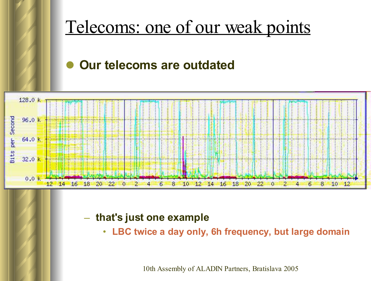

### **Our telecoms are outdated**



#### – **that's just one example**

• **LBC twice a day only, 6h frequency, but large domain**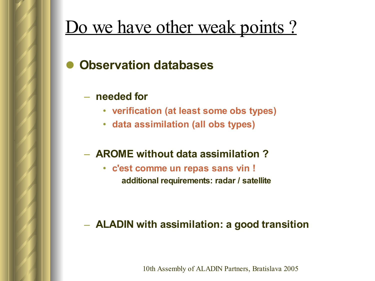## Do we have other weak points?

### **Observation databases**

- **needed for**
	- **verification (at least some obs types)**
	- **data assimilation (all obs types)**

### – **AROME without data assimilation ?**

• **c'est comme un repas sans vin ! additional requirements: radar / satellite**

### – **ALADIN with assimilation: a good transition**